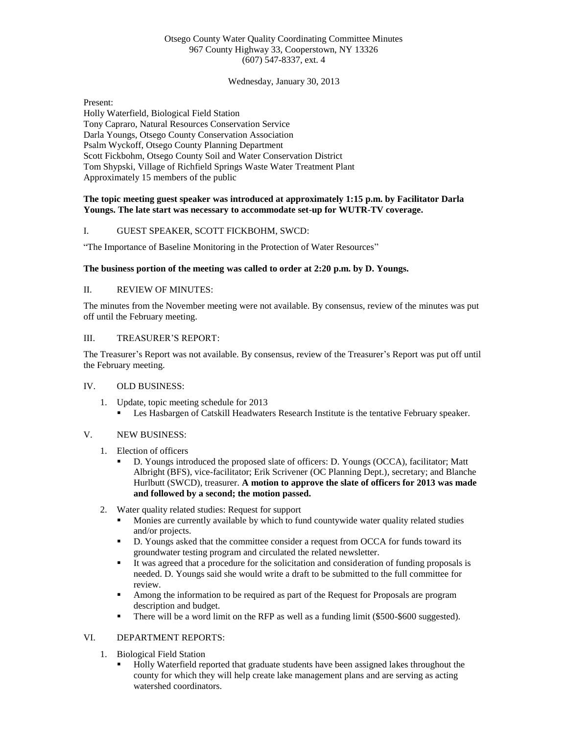# Otsego County Water Quality Coordinating Committee Minutes 967 County Highway 33, Cooperstown, NY 13326 (607) 547-8337, ext. 4

Wednesday, January 30, 2013

Present: Holly Waterfield, Biological Field Station Tony Capraro, Natural Resources Conservation Service Darla Youngs, Otsego County Conservation Association Psalm Wyckoff, Otsego County Planning Department Scott Fickbohm, Otsego County Soil and Water Conservation District Tom Shypski, Village of Richfield Springs Waste Water Treatment Plant Approximately 15 members of the public

## **The topic meeting guest speaker was introduced at approximately 1:15 p.m. by Facilitator Darla Youngs. The late start was necessary to accommodate set-up for WUTR-TV coverage.**

## I. GUEST SPEAKER, SCOTT FICKBOHM, SWCD:

"The Importance of Baseline Monitoring in the Protection of Water Resources"

## **The business portion of the meeting was called to order at 2:20 p.m. by D. Youngs.**

## II. REVIEW OF MINUTES:

The minutes from the November meeting were not available. By consensus, review of the minutes was put off until the February meeting.

#### III. TREASURER'S REPORT:

The Treasurer's Report was not available. By consensus, review of the Treasurer's Report was put off until the February meeting.

#### IV. OLD BUSINESS:

- 1. Update, topic meeting schedule for 2013
	- Les Hasbargen of Catskill Headwaters Research Institute is the tentative February speaker.

## V. NEW BUSINESS:

- 1. Election of officers
	- D. Youngs introduced the proposed slate of officers: D. Youngs (OCCA), facilitator; Matt Albright (BFS), vice-facilitator; Erik Scrivener (OC Planning Dept.), secretary; and Blanche Hurlbutt (SWCD), treasurer. **A motion to approve the slate of officers for 2013 was made and followed by a second; the motion passed.**
- 2. Water quality related studies: Request for support
	- **Monies are currently available by which to fund countywide water quality related studies** and/or projects.
	- D. Youngs asked that the committee consider a request from OCCA for funds toward its groundwater testing program and circulated the related newsletter.
	- It was agreed that a procedure for the solicitation and consideration of funding proposals is needed. D. Youngs said she would write a draft to be submitted to the full committee for review.
	- Among the information to be required as part of the Request for Proposals are program description and budget.
	- There will be a word limit on the RFP as well as a funding limit (\$500-\$600 suggested).

## VI. DEPARTMENT REPORTS:

- 1. Biological Field Station
	- Holly Waterfield reported that graduate students have been assigned lakes throughout the county for which they will help create lake management plans and are serving as acting watershed coordinators.